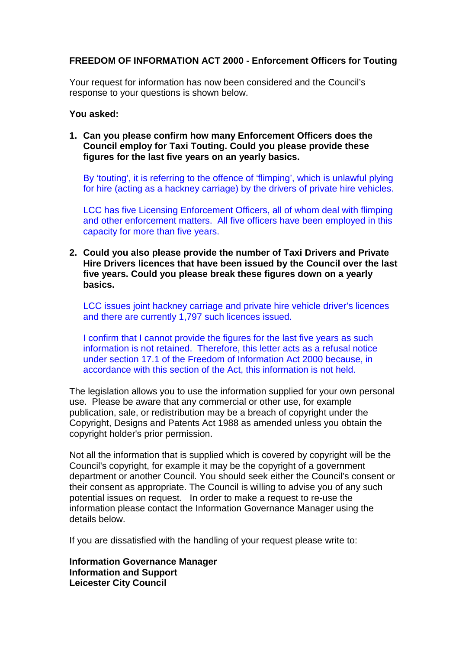## **FREEDOM OF INFORMATION ACT 2000 - Enforcement Officers for Touting**

Your request for information has now been considered and the Council's response to your questions is shown below.

## **You asked:**

**1. Can you please confirm how many Enforcement Officers does the Council employ for Taxi Touting. Could you please provide these figures for the last five years on an yearly basics.**

By 'touting', it is referring to the offence of 'flimping', which is unlawful plying for hire (acting as a hackney carriage) by the drivers of private hire vehicles.

LCC has five Licensing Enforcement Officers, all of whom deal with flimping and other enforcement matters. All five officers have been employed in this capacity for more than five years.

**2. Could you also please provide the number of Taxi Drivers and Private Hire Drivers licences that have been issued by the Council over the last five years. Could you please break these figures down on a yearly basics.** 

LCC issues joint hackney carriage and private hire vehicle driver's licences and there are currently 1,797 such licences issued.

I confirm that I cannot provide the figures for the last five years as such information is not retained. Therefore, this letter acts as a refusal notice under section 17.1 of the Freedom of Information Act 2000 because, in accordance with this section of the Act, this information is not held.

The legislation allows you to use the information supplied for your own personal use. Please be aware that any commercial or other use, for example publication, sale, or redistribution may be a breach of copyright under the Copyright, Designs and Patents Act 1988 as amended unless you obtain the copyright holder's prior permission.

Not all the information that is supplied which is covered by copyright will be the Council's copyright, for example it may be the copyright of a government department or another Council. You should seek either the Council's consent or their consent as appropriate. The Council is willing to advise you of any such potential issues on request. In order to make a request to re-use the information please contact the Information Governance Manager using the details below.

If you are dissatisfied with the handling of your request please write to:

**Information Governance Manager Information and Support Leicester City Council**